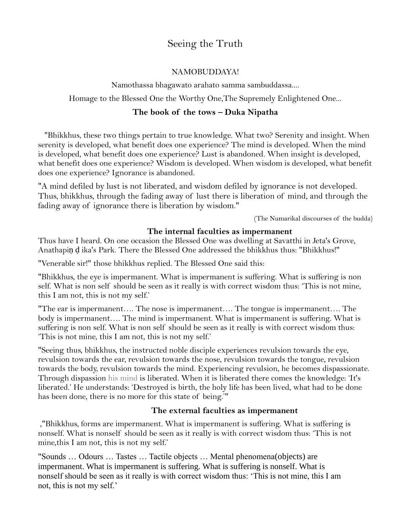# Seeing the Truth

### NAMOBUDDAYA!

Namothassa bhagawato arahato samma sambuddassa....

Homage to the Blessed One the Worthy One,The Supremely Enlightened One...

## **The book of the tows – Duka Nipatha**

 "Bhikkhus, these two things pertain to true knowledge. What two? Serenity and insight. When serenity is developed, what benefit does one experience? The mind is developed. When the mind is developed, what benefit does one experience? Lust is abandoned. When insight is developed, what benefit does one experience? Wisdom is developed. When wisdom is developed, what benefit does one experience? Ignorance is abandoned.

"A mind defiled by lust is not liberated, and wisdom defiled by ignorance is not developed. Thus, bhikkhus, through the fading away of lust there is liberation of mind, and through the fading away of ignorance there is liberation by wisdom."

(The Numarikal discourses of the budda)

### **The internal faculties as impermanent**

Thus have I heard. On one occasion the Blessed One was dwelling at Savatthi in Jeta's Grove, Anathapiṇ ḍ ika's Park. There the Blessed One addressed the bhikkhus thus: "Bhikkhus!"

"Venerable sir!" those bhikkhus replied. The Blessed One said this:

"Bhikkhus, the eye is impermanent. What is impermanent is suffering. What is suffering is non self. What is non self should be seen as it really is with correct wisdom thus: 'This is not mine, this I am not, this is not my self.'

"The ear is impermanent…. The nose is impermanent…. The tongue is impermanent…. The body is impermanent…. The mind is impermanent. What is impermanent is suffering. What is suffering is non self. What is non self should be seen as it really is with correct wisdom thus: 'This is not mine, this I am not, this is not my self.'

"Seeing thus, bhikkhus, the instructed noble disciple experiences revulsion towards the eye, revulsion towards the ear, revulsion towards the nose, revulsion towards the tongue, revulsion towards the body, revulsion towards the mind. Experiencing revulsion, he becomes dispassionate. Through dispassion his mind is liberated. When it is liberated there comes the knowledge: 'It's liberated.' He understands: 'Destroyed is birth, the holy life has been lived, what had to be done has been done, there is no more for this state of being.'"

## **The external faculties as impermanent**

,"Bhikkhus, forms are impermanent. What is impermanent is suffering. What is suffering is nonself. What is nonself should be seen as it really is with correct wisdom thus: 'This is not mine,this I am not, this is not my self.'

"Sounds … Odours … Tastes … Tactile objects … Mental phenomena(objects) are impermanent. What is impermanent is suffering. What is suffering is nonself. What is nonself should be seen as it really is with correct wisdom thus: 'This is not mine, this I am not, this is not my self.'